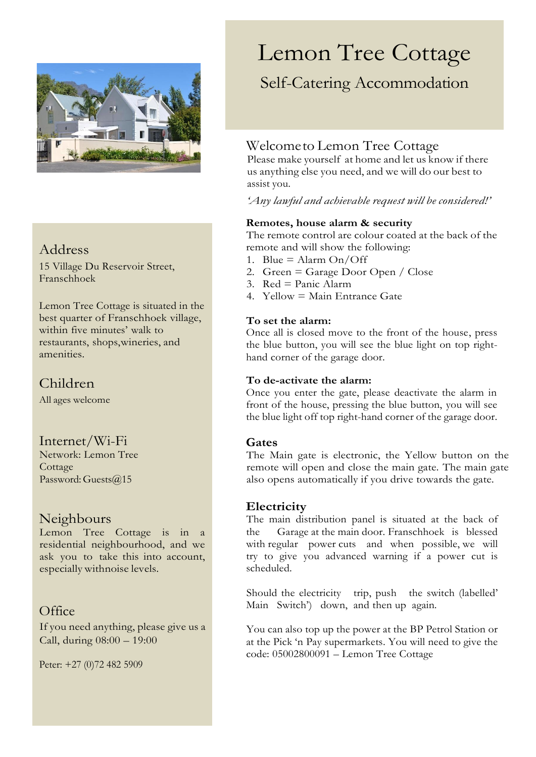

## Address

15 Village Du Reservoir Street, Franschhoek

Lemon Tree Cottage is situated in the best quarter of Franschhoek village, within five minutes' walk to restaurants, shops,wineries, and amenities.

## Children

All ages welcome

#### Internet/Wi-Fi

Network: Lemon Tree **Cottage** Password: Guests@15

#### Neighbours

Lemon Tree Cottage is in a residential neighbourhood, and we ask you to take this into account, especially withnoise levels.

### **Office**

If you need anything, please give us a Call, during 08:00 – 19:00

Peter: +27 (0)72 482 5909

# Lemon Tree Cottage

## Self-Catering Accommodation

## Welcometo Lemon Tree Cottage

Please make yourself at home and let us know if there us anything else you need, and we will do our best to assist you.

*'Any lawful and achievable request will be considered!'*

#### **Remotes, house alarm & security**

The remote control are colour coated at the back of the remote and will show the following:

- 1. Blue = Alarm  $On/Off$
- 2. Green = Garage Door Open / Close
- 3.  $Red = Panic$  Alarm
- 4. Yellow = Main Entrance Gate

#### **To set the alarm:**

Once all is closed move to the front of the house, press the blue button, you will see the blue light on top righthand corner of the garage door.

#### **To de-activate the alarm:**

Once you enter the gate, please deactivate the alarm in front of the house, pressing the blue button, you will see the blue light off top right-hand corner of the garage door.

#### **Gates**

The Main gate is electronic, the Yellow button on the remote will open and close the main gate. The main gate also opens automatically if you drive towards the gate.

#### **Electricity**

The main distribution panel is situated at the back of the Garage at the main door. Franschhoek is blessed with regular power cuts and when possible, we will try to give you advanced warning if a power cut is scheduled.

Should the electricity trip, push the switch (labelled' Main Switch') down, and then up again.

You can also top up the power at the BP Petrol Station or at the Pick 'n Pay supermarkets. You will need to give the code: 05002800091 – Lemon Tree Cottage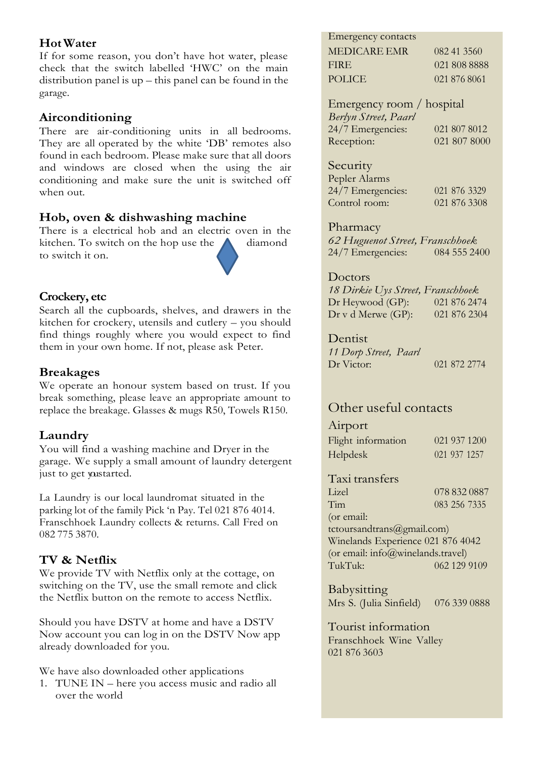#### **HotWater**

If for some reason, you don't have hot water, please check that the switch labelled 'HWC' on the main distribution panel is up – this panel can be found in the garage.

#### **Airconditioning**

There are air-conditioning units in all bedrooms. They are all operated by the white 'DB' remotes also found in each bedroom. Please make sure that all doors and windows are closed when the using the air conditioning and make sure the unit is switched off when out.

#### **Hob, oven & dishwashing machine**

There is a electrical hob and an electric oven in the kitchen. To switch on the hop use the  $\triangle$  diamond to switch it on.

#### **Crockery, etc**

Search all the cupboards, shelves, and drawers in the kitchen for crockery, utensils and cutlery – you should find things roughly where you would expect to find them in your own home. If not, please ask Peter.

#### **Breakages**

We operate an honour system based on trust. If you break something, please leave an appropriate amount to replace the breakage. Glasses & mugs R50, Towels R150.

#### **Laundry**

You will find a washing machine and Dryer in the garage. We supply a small amount of laundry detergent just to get yustarted.

La Laundry is our local laundromat situated in the parking lot of the family Pick 'n Pay. Tel 021 876 4014. Franschhoek Laundry collects & returns. Call Fred on 082 775 3870.

#### **TV & Netflix**

We provide TV with Netflix only at the cottage, on switching on the TV, use the small remote and click the Netflix button on the remote to access Netflix.

Should you have DSTV at home and have a DSTV Now account you can log in on the DSTV Now app already downloaded for you.

We have also downloaded other applications

1. TUNE IN – here you access music and radio all over the world

#### Emergency contacts

| MEDICARE EMR  | 082 41 3560  |
|---------------|--------------|
| FIRE.         | 021 808 8888 |
| <b>POLICE</b> | 021 876 8061 |

Emergency room / hospital *Berlyn Street, Paarl* 24/7 Emergencies: 021 807 8012 Reception: 021 807 8000

#### Security

| Pepler Alarms     |              |
|-------------------|--------------|
| 24/7 Emergencies: | 021 876 3329 |
| Control room:     | 021 876 3308 |

#### Pharmacy

*62 Huguenot Street, Franschhoek* 24/7 Emergencies:

#### Doctors

*18 Dirkie Uys Street, Franschhoek* Dr Heywood (GP): 021 876 2474<br>Dr v d Merwe (GP): 021 876 2304 Dr v d Merwe (GP):

Dentist

*11 Dorp Street, Paarl* Dr Victor: 021 872 2774

## Other useful contacts

#### Airport

| Flight information |  | 021 937 1200 |
|--------------------|--|--------------|
| <b>Helpdesk</b>    |  | 021 937 1257 |

## Taxi transfers

078 832 0887 Tim 083 256 7335

(or email: tctoursandtrans@gmail.com) Winelands Experience 021 876 4042 (or email: info@winelands.travel) TukTuk: 062 129 9109

Babysitting Mrs S. (Julia Sinfield) 076 339 0888

Tourist information Franschhoek Wine Valley 021 876 3603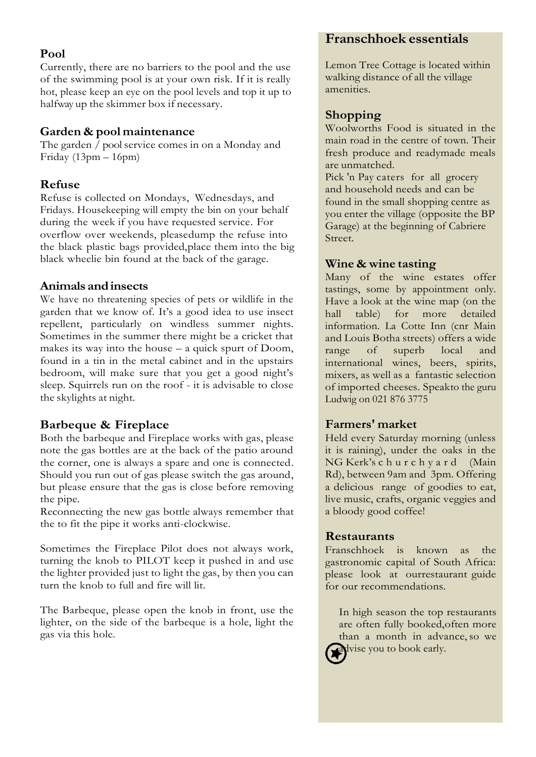#### **Pool**

Currently, there are no barriers to the pool and the use of the swimming pool is at your own risk. If it is really hot, please keep an eye on the pool levels and top it up to halfway up the skimmer box if necessary.

#### **Garden & pool maintenance**

The garden / pool service comes in on a Monday and Friday (13pm – 16pm)

#### **Refuse**

Refuse is collected on Mondays, Wednesdays, and Fridays. Housekeeping will empty the bin on your behalf during the week if you have requested service. For overflow over weekends, pleasedump the refuse into the black plastic bags provided,place them into the big black wheelie bin found at the back of the garage.

#### **Animals andinsects**

We have no threatening species of pets or wildlife in the garden that we know of. It's a good idea to use insect repellent, particularly on windless summer nights. Sometimes in the summer there might be a cricket that makes its way into the house – a quick spurt of Doom, found in a tin in the metal cabinet and in the upstairs bedroom, will make sure that you get a good night's sleep. Squirrels run on the roof - it is advisable to close the skylights at night.

#### **Barbeque & Fireplace**

Both the barbeque and Fireplace works with gas, please note the gas bottles are at the back of the patio around the corner, one is always a spare and one is connected. Should you run out of gas please switch the gas around, but please ensure that the gas is close before removing the pipe.

Reconnecting the new gas bottle always remember that the to fit the pipe it works anti-clockwise.

Sometimes the Fireplace Pilot does not always work, turning the knob to PILOT keep it pushed in and use the lighter provided just to light the gas, by then you can turn the knob to full and fire will lit.

The Barbeque, please open the knob in front, use the lighter, on the side of the barbeque is a hole, light the gas via this hole.

### **Franschhoek essentials**

Lemon Tree Cottage is located within walking distance of all the village amenities.

#### **Shopping**

Woolworths Food is situated in the main road in the centre of town. Their fresh produce and readymade meals are unmatched.

Pick 'n Pay caters for all grocery and household needs and can be found in the small shopping centre as you enter the village (opposite the BP Garage) at the beginning of Cabriere Street.

#### **Wine & wine tasting**

Many of the wine estates offer tastings, some by appointment only. Have a look at the wine map (on the hall table) for more detailed information. La Cotte Inn (cnr Main and Louis Botha streets) offers a wide range of superb local and international wines, beers, spirits, mixers, as well as a fantastic selection of imported cheeses. Speakto the guru Ludwig on 021 876 3775

#### **Farmers' market**

Held every Saturday morning (unless it is raining), under the oaks in the NG Kerk's c h u r c h y a r d (Main Rd), between 9am and 3pm. Offering a delicious range of goodies to eat, live music, crafts, organic veggies and a bloody good coffee!

#### **Restaurants**

Franschhoek is known as the gastronomic capital of South Africa: please look at ourrestaurant guide for our recommendations.

In high season the top restaurants are often fully booked,often more than a month in advance, so we advise you to book early.